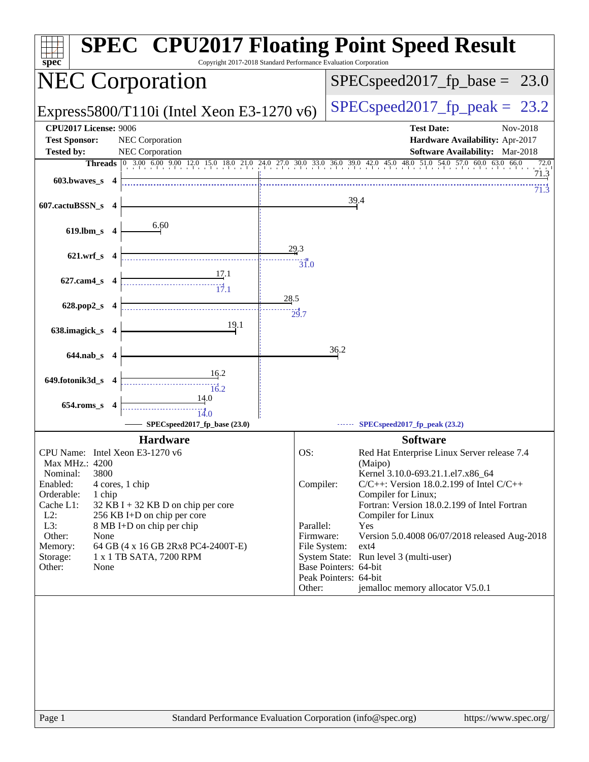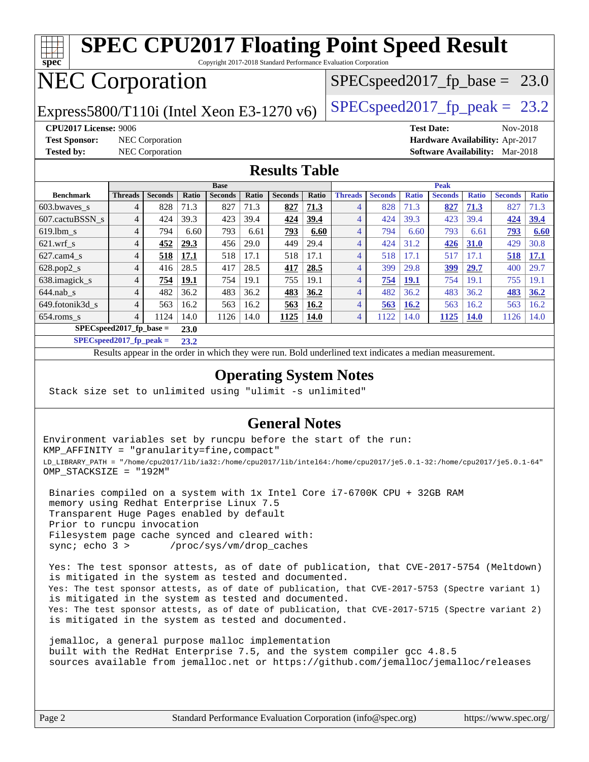#### **[spec](http://www.spec.org/) [SPEC CPU2017 Floating Point Speed Result](http://www.spec.org/auto/cpu2017/Docs/result-fields.html#SPECCPU2017FloatingPointSpeedResult)** Copyright 2017-2018 Standard Performance Evaluation Corporation NEC Corporation Express5800/T110i (Intel Xeon E3-1270 v6) [SPECspeed2017\\_fp\\_peak =](http://www.spec.org/auto/cpu2017/Docs/result-fields.html#SPECspeed2017fppeak) 23.2  $SPECspeed2017_fp\_base = 23.0$ **[CPU2017 License:](http://www.spec.org/auto/cpu2017/Docs/result-fields.html#CPU2017License)** 9006 **[Test Date:](http://www.spec.org/auto/cpu2017/Docs/result-fields.html#TestDate)** Nov-2018 **[Test Sponsor:](http://www.spec.org/auto/cpu2017/Docs/result-fields.html#TestSponsor)** NEC Corporation **[Hardware Availability:](http://www.spec.org/auto/cpu2017/Docs/result-fields.html#HardwareAvailability)** Apr-2017 **[Tested by:](http://www.spec.org/auto/cpu2017/Docs/result-fields.html#Testedby)** NEC Corporation **[Software Availability:](http://www.spec.org/auto/cpu2017/Docs/result-fields.html#SoftwareAvailability)** Mar-2018 **[Results Table](http://www.spec.org/auto/cpu2017/Docs/result-fields.html#ResultsTable) [Benchmark](http://www.spec.org/auto/cpu2017/Docs/result-fields.html#Benchmark) [Threads](http://www.spec.org/auto/cpu2017/Docs/result-fields.html#Threads) [Seconds](http://www.spec.org/auto/cpu2017/Docs/result-fields.html#Seconds) [Ratio](http://www.spec.org/auto/cpu2017/Docs/result-fields.html#Ratio) [Seconds](http://www.spec.org/auto/cpu2017/Docs/result-fields.html#Seconds) [Ratio](http://www.spec.org/auto/cpu2017/Docs/result-fields.html#Ratio) [Seconds](http://www.spec.org/auto/cpu2017/Docs/result-fields.html#Seconds) [Ratio](http://www.spec.org/auto/cpu2017/Docs/result-fields.html#Ratio) Base [Threads](http://www.spec.org/auto/cpu2017/Docs/result-fields.html#Threads) [Seconds](http://www.spec.org/auto/cpu2017/Docs/result-fields.html#Seconds) [Ratio](http://www.spec.org/auto/cpu2017/Docs/result-fields.html#Ratio) [Seconds](http://www.spec.org/auto/cpu2017/Docs/result-fields.html#Seconds) [Ratio](http://www.spec.org/auto/cpu2017/Docs/result-fields.html#Ratio) [Seconds](http://www.spec.org/auto/cpu2017/Docs/result-fields.html#Seconds) [Ratio](http://www.spec.org/auto/cpu2017/Docs/result-fields.html#Ratio) Peak** [603.bwaves\\_s](http://www.spec.org/auto/cpu2017/Docs/benchmarks/603.bwaves_s.html) 4 828 71.3 827 71.3 **[827](http://www.spec.org/auto/cpu2017/Docs/result-fields.html#Median) [71.3](http://www.spec.org/auto/cpu2017/Docs/result-fields.html#Median)** 4 828 71.3 **[827](http://www.spec.org/auto/cpu2017/Docs/result-fields.html#Median) [71.3](http://www.spec.org/auto/cpu2017/Docs/result-fields.html#Median)** 827 71.3 [607.cactuBSSN\\_s](http://www.spec.org/auto/cpu2017/Docs/benchmarks/607.cactuBSSN_s.html) 4 424 39.3 423 39.4 **[424](http://www.spec.org/auto/cpu2017/Docs/result-fields.html#Median) [39.4](http://www.spec.org/auto/cpu2017/Docs/result-fields.html#Median)** 4 424 39.3 423 39.4 **[424](http://www.spec.org/auto/cpu2017/Docs/result-fields.html#Median) [39.4](http://www.spec.org/auto/cpu2017/Docs/result-fields.html#Median)** [619.lbm\\_s](http://www.spec.org/auto/cpu2017/Docs/benchmarks/619.lbm_s.html) 4 794 6.60 793 6.61 **[793](http://www.spec.org/auto/cpu2017/Docs/result-fields.html#Median) [6.60](http://www.spec.org/auto/cpu2017/Docs/result-fields.html#Median)** 4 794 6.60 793 6.61 **[793](http://www.spec.org/auto/cpu2017/Docs/result-fields.html#Median) [6.60](http://www.spec.org/auto/cpu2017/Docs/result-fields.html#Median)** [621.wrf\\_s](http://www.spec.org/auto/cpu2017/Docs/benchmarks/621.wrf_s.html) 4 **[452](http://www.spec.org/auto/cpu2017/Docs/result-fields.html#Median) [29.3](http://www.spec.org/auto/cpu2017/Docs/result-fields.html#Median)** 456 29.0 449 29.4 4 424 31.2 **[426](http://www.spec.org/auto/cpu2017/Docs/result-fields.html#Median) [31.0](http://www.spec.org/auto/cpu2017/Docs/result-fields.html#Median)** 429 30.8 [627.cam4\\_s](http://www.spec.org/auto/cpu2017/Docs/benchmarks/627.cam4_s.html) 4 **[518](http://www.spec.org/auto/cpu2017/Docs/result-fields.html#Median) [17.1](http://www.spec.org/auto/cpu2017/Docs/result-fields.html#Median)** 518 17.1 518 17.1 4 518 17.1 517 17.1 **[518](http://www.spec.org/auto/cpu2017/Docs/result-fields.html#Median) [17.1](http://www.spec.org/auto/cpu2017/Docs/result-fields.html#Median)** [628.pop2\\_s](http://www.spec.org/auto/cpu2017/Docs/benchmarks/628.pop2_s.html) 4 416 28.5 417 28.5 **[417](http://www.spec.org/auto/cpu2017/Docs/result-fields.html#Median) [28.5](http://www.spec.org/auto/cpu2017/Docs/result-fields.html#Median)** 4 399 29.8 **[399](http://www.spec.org/auto/cpu2017/Docs/result-fields.html#Median) [29.7](http://www.spec.org/auto/cpu2017/Docs/result-fields.html#Median)** 400 29.7 [638.imagick\\_s](http://www.spec.org/auto/cpu2017/Docs/benchmarks/638.imagick_s.html) 4 **[754](http://www.spec.org/auto/cpu2017/Docs/result-fields.html#Median) [19.1](http://www.spec.org/auto/cpu2017/Docs/result-fields.html#Median)** 754 19.1 755 19.1 4 **[754](http://www.spec.org/auto/cpu2017/Docs/result-fields.html#Median) [19.1](http://www.spec.org/auto/cpu2017/Docs/result-fields.html#Median)** 754 19.1 755 19.1 [644.nab\\_s](http://www.spec.org/auto/cpu2017/Docs/benchmarks/644.nab_s.html) 4 482 36.2 483 36.2 **[483](http://www.spec.org/auto/cpu2017/Docs/result-fields.html#Median) [36.2](http://www.spec.org/auto/cpu2017/Docs/result-fields.html#Median)** 4 482 36.2 483 36.2 **[483](http://www.spec.org/auto/cpu2017/Docs/result-fields.html#Median) [36.2](http://www.spec.org/auto/cpu2017/Docs/result-fields.html#Median)** [649.fotonik3d\\_s](http://www.spec.org/auto/cpu2017/Docs/benchmarks/649.fotonik3d_s.html) 4 563 16.2 563 16.2 **[563](http://www.spec.org/auto/cpu2017/Docs/result-fields.html#Median) [16.2](http://www.spec.org/auto/cpu2017/Docs/result-fields.html#Median)** 4 **[563](http://www.spec.org/auto/cpu2017/Docs/result-fields.html#Median) [16.2](http://www.spec.org/auto/cpu2017/Docs/result-fields.html#Median)** 563 16.2 563 16.2 [654.roms\\_s](http://www.spec.org/auto/cpu2017/Docs/benchmarks/654.roms_s.html) 4 1124 14.0 1126 14.0 **[1125](http://www.spec.org/auto/cpu2017/Docs/result-fields.html#Median) [14.0](http://www.spec.org/auto/cpu2017/Docs/result-fields.html#Median)** 4 1122 14.0 **[1125](http://www.spec.org/auto/cpu2017/Docs/result-fields.html#Median) [14.0](http://www.spec.org/auto/cpu2017/Docs/result-fields.html#Median)** 1126 14.0

**[SPECspeed2017\\_fp\\_base =](http://www.spec.org/auto/cpu2017/Docs/result-fields.html#SPECspeed2017fpbase) 23.0 [SPECspeed2017\\_fp\\_peak =](http://www.spec.org/auto/cpu2017/Docs/result-fields.html#SPECspeed2017fppeak) 23.2**

Results appear in the [order in which they were run.](http://www.spec.org/auto/cpu2017/Docs/result-fields.html#RunOrder) Bold underlined text [indicates a median measurement](http://www.spec.org/auto/cpu2017/Docs/result-fields.html#Median).

#### **[Operating System Notes](http://www.spec.org/auto/cpu2017/Docs/result-fields.html#OperatingSystemNotes)**

Stack size set to unlimited using "ulimit -s unlimited"

### **[General Notes](http://www.spec.org/auto/cpu2017/Docs/result-fields.html#GeneralNotes)**

Environment variables set by runcpu before the start of the run: KMP\_AFFINITY = "granularity=fine,compact" LD\_LIBRARY\_PATH = "/home/cpu2017/lib/ia32:/home/cpu2017/lib/intel64:/home/cpu2017/je5.0.1-32:/home/cpu2017/je5.0.1-64" OMP\_STACKSIZE = "192M"

 Binaries compiled on a system with 1x Intel Core i7-6700K CPU + 32GB RAM memory using Redhat Enterprise Linux 7.5 Transparent Huge Pages enabled by default Prior to runcpu invocation Filesystem page cache synced and cleared with: sync; echo 3 > /proc/sys/vm/drop\_caches

 Yes: The test sponsor attests, as of date of publication, that CVE-2017-5754 (Meltdown) is mitigated in the system as tested and documented. Yes: The test sponsor attests, as of date of publication, that CVE-2017-5753 (Spectre variant 1) is mitigated in the system as tested and documented. Yes: The test sponsor attests, as of date of publication, that CVE-2017-5715 (Spectre variant 2) is mitigated in the system as tested and documented.

 jemalloc, a general purpose malloc implementation built with the RedHat Enterprise 7.5, and the system compiler gcc 4.8.5 sources available from jemalloc.net or <https://github.com/jemalloc/jemalloc/releases>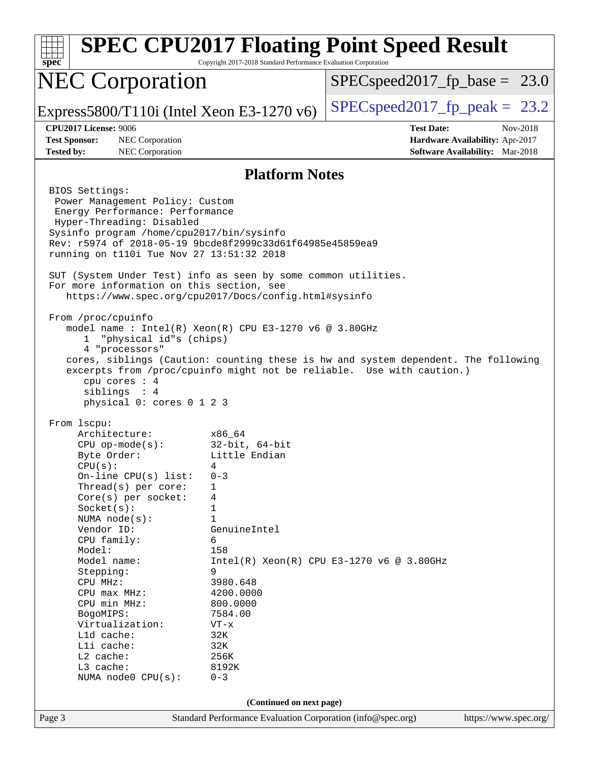| spec                                                                                                                                                                                                                                                                                                                                                               | Copyright 2017-2018 Standard Performance Evaluation Corporation                                                                                                                                                                                                                                                                                                                                                                                                                                                              | <b>SPEC CPU2017 Floating Point Speed Result</b>                                                     |
|--------------------------------------------------------------------------------------------------------------------------------------------------------------------------------------------------------------------------------------------------------------------------------------------------------------------------------------------------------------------|------------------------------------------------------------------------------------------------------------------------------------------------------------------------------------------------------------------------------------------------------------------------------------------------------------------------------------------------------------------------------------------------------------------------------------------------------------------------------------------------------------------------------|-----------------------------------------------------------------------------------------------------|
| <b>NEC Corporation</b>                                                                                                                                                                                                                                                                                                                                             |                                                                                                                                                                                                                                                                                                                                                                                                                                                                                                                              | $SPEC speed2017_f p\_base = 23.0$                                                                   |
|                                                                                                                                                                                                                                                                                                                                                                    | Express5800/T110i (Intel Xeon E3-1270 $v6$ )                                                                                                                                                                                                                                                                                                                                                                                                                                                                                 | $SPEC speed2017fp peak = 23.2$                                                                      |
| CPU2017 License: 9006<br><b>Test Sponsor:</b><br><b>NEC</b> Corporation<br>NEC Corporation<br><b>Tested by:</b>                                                                                                                                                                                                                                                    |                                                                                                                                                                                                                                                                                                                                                                                                                                                                                                                              | <b>Test Date:</b><br>Nov-2018<br>Hardware Availability: Apr-2017<br>Software Availability: Mar-2018 |
|                                                                                                                                                                                                                                                                                                                                                                    | <b>Platform Notes</b>                                                                                                                                                                                                                                                                                                                                                                                                                                                                                                        |                                                                                                     |
| BIOS Settings:<br>Power Management Policy: Custom<br>Energy Performance: Performance<br>Hyper-Threading: Disabled<br>From /proc/cpuinfo<br>"physical id"s (chips)<br>ı.<br>4 "processors"<br>cpu cores : 4<br>siblings : 4<br>physical 0: cores 0 1 2 3<br>From 1scpu:<br>Architecture:<br>$CPU$ op-mode( $s$ ):<br>Byte Order:<br>CPU(s):<br>On-line CPU(s) list: | Sysinfo program /home/cpu2017/bin/sysinfo<br>Rev: r5974 of 2018-05-19 9bcde8f2999c33d61f64985e45859ea9<br>running on t110i Tue Nov 27 13:51:32 2018<br>SUT (System Under Test) info as seen by some common utilities.<br>For more information on this section, see<br>https://www.spec.org/cpu2017/Docs/config.html#sysinfo<br>model name: $Intel(R)$ Xeon(R) CPU E3-1270 v6 @ 3.80GHz<br>excerpts from /proc/cpuinfo might not be reliable. Use with caution.)<br>x86 64<br>32-bit, 64-bit<br>Little Endian<br>4<br>$0 - 3$ | cores, siblings (Caution: counting these is hw and system dependent. The following                  |
| Thread(s) per core:<br>$Core(s)$ per socket:<br>Socket(s):<br>NUMA $node(s)$ :                                                                                                                                                                                                                                                                                     | 1<br>4<br>1<br>1                                                                                                                                                                                                                                                                                                                                                                                                                                                                                                             |                                                                                                     |
| Vendor ID:<br>CPU family:<br>Model:<br>Model name:<br>Stepping:<br>CPU MHz:                                                                                                                                                                                                                                                                                        | GenuineIntel<br>6<br>158<br>9<br>3980.648                                                                                                                                                                                                                                                                                                                                                                                                                                                                                    | $Intel(R) Xeon(R) CPU E3-1270 v6 @ 3.80GHz$                                                         |
| CPU max MHz:<br>CPU min MHz:<br>BogoMIPS:<br>Virtualization:<br>L1d cache:<br>Lli cache:<br>L2 cache:<br>L3 cache:<br>NUMA node0 CPU(s):                                                                                                                                                                                                                           | 4200.0000<br>800.0000<br>7584.00<br>$VT - x$<br>32K<br>32K<br>256K<br>8192K<br>$0 - 3$                                                                                                                                                                                                                                                                                                                                                                                                                                       |                                                                                                     |
|                                                                                                                                                                                                                                                                                                                                                                    | (Continued on next page)                                                                                                                                                                                                                                                                                                                                                                                                                                                                                                     |                                                                                                     |
| Page 3                                                                                                                                                                                                                                                                                                                                                             | Standard Performance Evaluation Corporation (info@spec.org)                                                                                                                                                                                                                                                                                                                                                                                                                                                                  | https://www.spec.org/                                                                               |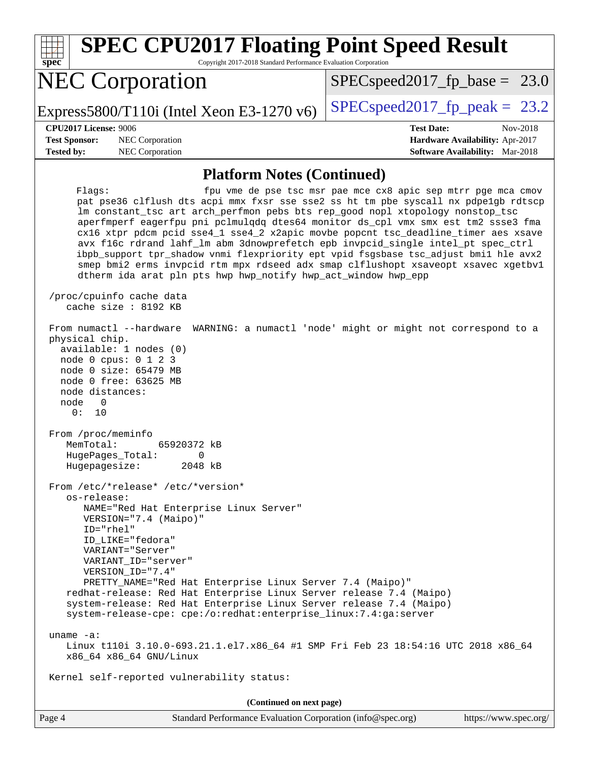| <b>SPEC CPU2017 Floating Point Speed Result</b><br>Copyright 2017-2018 Standard Performance Evaluation Corporation<br>spec <sup>®</sup>                                                                                                                                                                                                                                                                                                                                                                                                                                                                                                                                                                                |                                                                                                            |
|------------------------------------------------------------------------------------------------------------------------------------------------------------------------------------------------------------------------------------------------------------------------------------------------------------------------------------------------------------------------------------------------------------------------------------------------------------------------------------------------------------------------------------------------------------------------------------------------------------------------------------------------------------------------------------------------------------------------|------------------------------------------------------------------------------------------------------------|
| <b>NEC Corporation</b>                                                                                                                                                                                                                                                                                                                                                                                                                                                                                                                                                                                                                                                                                                 | $SPEC speed2017_f p\_base = 23.0$                                                                          |
| Express5800/T110i (Intel Xeon E3-1270 $v6$ )                                                                                                                                                                                                                                                                                                                                                                                                                                                                                                                                                                                                                                                                           | $SPEC speed2017$ _fp_peak = 23.2                                                                           |
| CPU2017 License: 9006<br><b>Test Sponsor:</b><br>NEC Corporation<br><b>Tested by:</b><br>NEC Corporation                                                                                                                                                                                                                                                                                                                                                                                                                                                                                                                                                                                                               | <b>Test Date:</b><br>Nov-2018<br>Hardware Availability: Apr-2017<br><b>Software Availability:</b> Mar-2018 |
| <b>Platform Notes (Continued)</b>                                                                                                                                                                                                                                                                                                                                                                                                                                                                                                                                                                                                                                                                                      |                                                                                                            |
| Flagg:<br>pat pse36 clflush dts acpi mmx fxsr sse sse2 ss ht tm pbe syscall nx pdpelgb rdtscp<br>lm constant_tsc art arch_perfmon pebs bts rep_good nopl xtopology nonstop_tsc<br>aperfmperf eagerfpu pni pclmulqdq dtes64 monitor ds_cpl vmx smx est tm2 ssse3 fma<br>cx16 xtpr pdcm pcid sse4_1 sse4_2 x2apic movbe popcnt tsc_deadline_timer aes xsave<br>avx f16c rdrand lahf_lm abm 3dnowprefetch epb invpcid_single intel_pt spec_ctrl<br>ibpb_support tpr_shadow vnmi flexpriority ept vpid fsgsbase tsc_adjust bmil hle avx2<br>smep bmi2 erms invpcid rtm mpx rdseed adx smap clflushopt xsaveopt xsavec xgetbvl<br>dtherm ida arat pln pts hwp hwp_notify hwp_act_window hwp_epp<br>/proc/cpuinfo cache data | fpu vme de pse tsc msr pae mce cx8 apic sep mtrr pge mca cmov                                              |
| cache size : 8192 KB                                                                                                                                                                                                                                                                                                                                                                                                                                                                                                                                                                                                                                                                                                   |                                                                                                            |
| From numactl --hardware<br>physical chip.<br>available: 1 nodes (0)<br>node 0 cpus: 0 1 2 3<br>node 0 size: 65479 MB<br>node 0 free: 63625 MB<br>node distances:<br>node<br>0<br>0 :<br>10                                                                                                                                                                                                                                                                                                                                                                                                                                                                                                                             | WARNING: a numactl 'node' might or might not correspond to a                                               |
| From /proc/meminfo<br>MemTotal:<br>65920372 kB<br>HugePages_Total:<br>0<br>2048 kB<br>Hugepagesize:                                                                                                                                                                                                                                                                                                                                                                                                                                                                                                                                                                                                                    |                                                                                                            |
| From /etc/*release* /etc/*version*<br>os-release:<br>NAME="Red Hat Enterprise Linux Server"<br>VERSION="7.4 (Maipo)"<br>$ID="rhe1"$<br>ID_LIKE="fedora"<br>VARIANT="Server"<br>VARIANT_ID="server"<br>VERSION_ID="7.4"<br>PRETTY_NAME="Red Hat Enterprise Linux Server 7.4 (Maipo)"<br>redhat-release: Red Hat Enterprise Linux Server release 7.4 (Maipo)<br>system-release: Red Hat Enterprise Linux Server release 7.4 (Maipo)<br>system-release-cpe: cpe:/o:redhat:enterprise_linux:7.4:ga:server                                                                                                                                                                                                                  |                                                                                                            |
| uname $-a$ :<br>Linux t110i 3.10.0-693.21.1.el7.x86_64 #1 SMP Fri Feb 23 18:54:16 UTC 2018 x86_64<br>x86_64 x86_64 GNU/Linux                                                                                                                                                                                                                                                                                                                                                                                                                                                                                                                                                                                           |                                                                                                            |
| Kernel self-reported vulnerability status:                                                                                                                                                                                                                                                                                                                                                                                                                                                                                                                                                                                                                                                                             |                                                                                                            |
| (Continued on next page)                                                                                                                                                                                                                                                                                                                                                                                                                                                                                                                                                                                                                                                                                               |                                                                                                            |
| Standard Performance Evaluation Corporation (info@spec.org)<br>Page 4                                                                                                                                                                                                                                                                                                                                                                                                                                                                                                                                                                                                                                                  | https://www.spec.org/                                                                                      |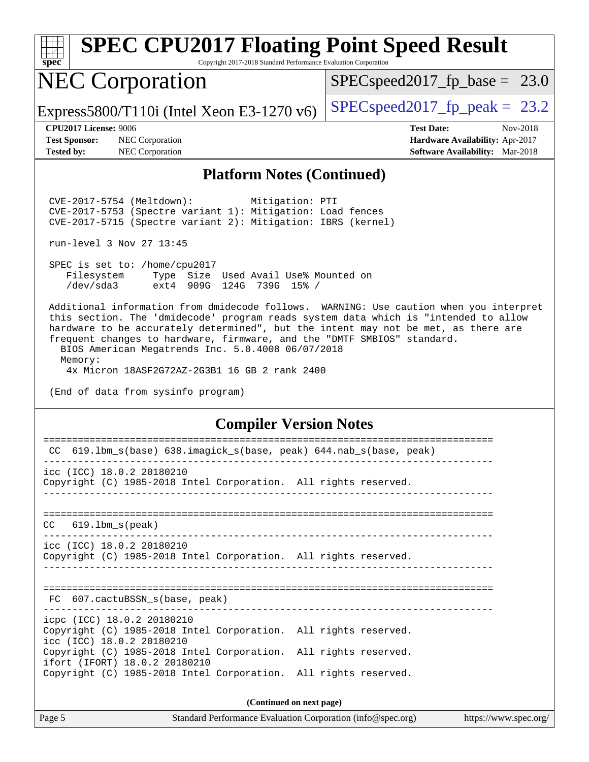|        | <b>SPEC CPU2017 Floating Point Speed Result</b>                 |  |  |  |
|--------|-----------------------------------------------------------------|--|--|--|
| $ec^*$ | Copyright 2017-2018 Standard Performance Evaluation Corporation |  |  |  |
|        | $\Gamma \cap \Gamma$<br>$CDP_{\text{max}} = 10017$ for $1.1$    |  |  |  |

# NEC Corporation

[SPECspeed2017\\_fp\\_base =](http://www.spec.org/auto/cpu2017/Docs/result-fields.html#SPECspeed2017fpbase) 23.0

Express5800/T110i (Intel Xeon E3-1270 v6) [SPECspeed2017\\_fp\\_peak =](http://www.spec.org/auto/cpu2017/Docs/result-fields.html#SPECspeed2017fppeak) 23.2

 $\frac{1}{\mathbf{s}\mathbf{p}}$ 

**[Test Sponsor:](http://www.spec.org/auto/cpu2017/Docs/result-fields.html#TestSponsor)** NEC Corporation **[Hardware Availability:](http://www.spec.org/auto/cpu2017/Docs/result-fields.html#HardwareAvailability)** Apr-2017 **[Tested by:](http://www.spec.org/auto/cpu2017/Docs/result-fields.html#Testedby)** NEC Corporation **[Software Availability:](http://www.spec.org/auto/cpu2017/Docs/result-fields.html#SoftwareAvailability)** Mar-2018

**[CPU2017 License:](http://www.spec.org/auto/cpu2017/Docs/result-fields.html#CPU2017License)** 9006 **[Test Date:](http://www.spec.org/auto/cpu2017/Docs/result-fields.html#TestDate)** Nov-2018

#### **[Platform Notes \(Continued\)](http://www.spec.org/auto/cpu2017/Docs/result-fields.html#PlatformNotes)**

 CVE-2017-5754 (Meltdown): Mitigation: PTI CVE-2017-5753 (Spectre variant 1): Mitigation: Load fences CVE-2017-5715 (Spectre variant 2): Mitigation: IBRS (kernel)

run-level 3 Nov 27 13:45

 SPEC is set to: /home/cpu2017 Filesystem Type Size Used Avail Use% Mounted on /dev/sda3 ext4 909G 124G 739G 15% /

 Additional information from dmidecode follows. WARNING: Use caution when you interpret this section. The 'dmidecode' program reads system data which is "intended to allow hardware to be accurately determined", but the intent may not be met, as there are frequent changes to hardware, firmware, and the "DMTF SMBIOS" standard.

 BIOS American Megatrends Inc. 5.0.4008 06/07/2018 Memory:

4x Micron 18ASF2G72AZ-2G3B1 16 GB 2 rank 2400

(End of data from sysinfo program)

#### **[Compiler Version Notes](http://www.spec.org/auto/cpu2017/Docs/result-fields.html#CompilerVersionNotes)**

| 619.1bm_s(base) 638.imagick_s(base, peak) 644.nab_s(base, peak)<br>CC                            |  |  |  |  |
|--------------------------------------------------------------------------------------------------|--|--|--|--|
| icc (ICC) 18.0.2 20180210                                                                        |  |  |  |  |
| Copyright (C) 1985-2018 Intel Corporation. All rights reserved.                                  |  |  |  |  |
| $CC$ 619.1bm $s$ (peak)                                                                          |  |  |  |  |
|                                                                                                  |  |  |  |  |
| icc (ICC) 18.0.2 20180210<br>Copyright (C) 1985-2018 Intel Corporation. All rights reserved.     |  |  |  |  |
|                                                                                                  |  |  |  |  |
| FC 607.cactuBSSN_s(base, peak)                                                                   |  |  |  |  |
| icpc (ICC) 18.0.2 20180210                                                                       |  |  |  |  |
| Copyright (C) 1985-2018 Intel Corporation. All rights reserved.<br>icc (ICC) 18.0.2 20180210     |  |  |  |  |
| Copyright (C) 1985-2018 Intel Corporation. All rights reserved.<br>ifort (IFORT) 18.0.2 20180210 |  |  |  |  |
| Copyright (C) 1985-2018 Intel Corporation. All rights reserved.                                  |  |  |  |  |
| (Continued on next page)                                                                         |  |  |  |  |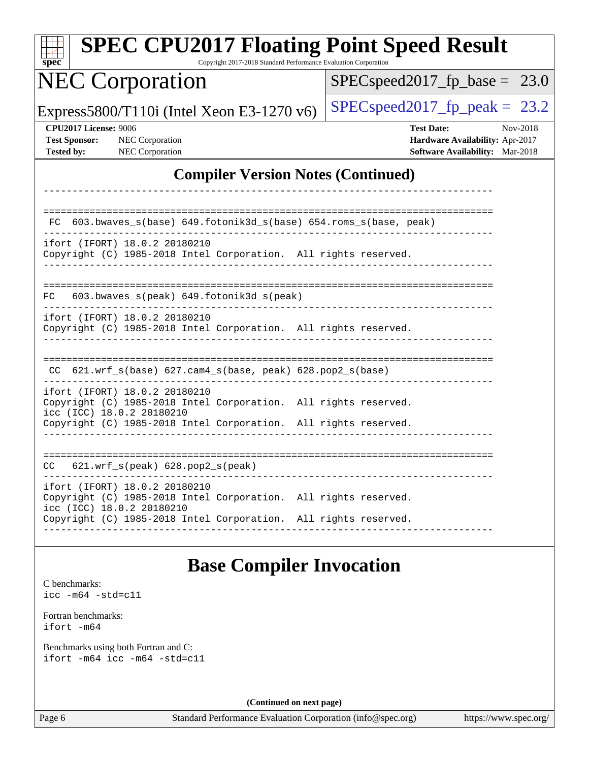| $spec^*$                                                           | <b>SPEC CPU2017 Floating Point Speed Result</b>                                                                                                                                                  | Copyright 2017-2018 Standard Performance Evaluation Corporation |                                                             |                                                                                         |                       |
|--------------------------------------------------------------------|--------------------------------------------------------------------------------------------------------------------------------------------------------------------------------------------------|-----------------------------------------------------------------|-------------------------------------------------------------|-----------------------------------------------------------------------------------------|-----------------------|
|                                                                    | <b>NEC Corporation</b>                                                                                                                                                                           |                                                                 |                                                             | $SPEC speed2017_fp\_base = 23.0$                                                        |                       |
|                                                                    | Express5800/T110i (Intel Xeon E3-1270 v6)                                                                                                                                                        |                                                                 |                                                             | $SPEC speed2017_fp\_peak = 23.2$                                                        |                       |
| CPU2017 License: 9006<br><b>Test Sponsor:</b><br><b>Tested by:</b> | NEC Corporation<br><b>NEC</b> Corporation                                                                                                                                                        |                                                                 |                                                             | <b>Test Date:</b><br>Hardware Availability: Apr-2017<br>Software Availability: Mar-2018 | Nov-2018              |
|                                                                    |                                                                                                                                                                                                  |                                                                 | <b>Compiler Version Notes (Continued)</b>                   |                                                                                         |                       |
|                                                                    |                                                                                                                                                                                                  |                                                                 |                                                             |                                                                                         |                       |
| FC.                                                                | 603.bwaves_s(base) 649.fotonik3d_s(base) 654.roms_s(base, peak)                                                                                                                                  |                                                                 |                                                             |                                                                                         |                       |
|                                                                    | ifort (IFORT) 18.0.2 20180210<br>Copyright (C) 1985-2018 Intel Corporation. All rights reserved.                                                                                                 |                                                                 |                                                             |                                                                                         |                       |
| FC                                                                 | 603.bwaves_s(peak) 649.fotonik3d_s(peak)                                                                                                                                                         |                                                                 |                                                             |                                                                                         |                       |
|                                                                    | ifort (IFORT) 18.0.2 20180210<br>Copyright (C) 1985-2018 Intel Corporation. All rights reserved.                                                                                                 |                                                                 |                                                             |                                                                                         |                       |
|                                                                    | $CC$ 621.wrf_s(base) 627.cam4_s(base, peak) 628.pop2_s(base)                                                                                                                                     |                                                                 |                                                             |                                                                                         |                       |
|                                                                    | ifort (IFORT) 18.0.2 20180210<br>Copyright (C) 1985-2018 Intel Corporation. All rights reserved.<br>icc (ICC) 18.0.2 20180210<br>Copyright (C) 1985-2018 Intel Corporation. All rights reserved. |                                                                 |                                                             |                                                                                         |                       |
|                                                                    |                                                                                                                                                                                                  |                                                                 |                                                             |                                                                                         |                       |
|                                                                    | CC 621.wrf_s(peak) 628.pop2_s(peak)                                                                                                                                                              |                                                                 |                                                             |                                                                                         |                       |
|                                                                    | ifort (IFORT) 18.0.2 20180210<br>Copyright (C) 1985-2018 Intel Corporation. All rights reserved.                                                                                                 |                                                                 |                                                             |                                                                                         |                       |
|                                                                    | icc (ICC) 18.0.2 20180210<br>Copyright (C) 1985-2018 Intel Corporation. All rights reserved.                                                                                                     |                                                                 |                                                             |                                                                                         |                       |
|                                                                    |                                                                                                                                                                                                  | <b>Base Compiler Invocation</b>                                 |                                                             |                                                                                         |                       |
| C benchmarks:<br>$\texttt{icc -m64 -std=cl1}$                      |                                                                                                                                                                                                  |                                                                 |                                                             |                                                                                         |                       |
| Fortran benchmarks:<br>ifort -m64                                  |                                                                                                                                                                                                  |                                                                 |                                                             |                                                                                         |                       |
|                                                                    | Benchmarks using both Fortran and C:<br>ifort -m64 icc -m64 -std=c11                                                                                                                             |                                                                 |                                                             |                                                                                         |                       |
|                                                                    |                                                                                                                                                                                                  | (Continued on next page)                                        |                                                             |                                                                                         |                       |
| Page 6                                                             |                                                                                                                                                                                                  |                                                                 | Standard Performance Evaluation Corporation (info@spec.org) |                                                                                         | https://www.spec.org/ |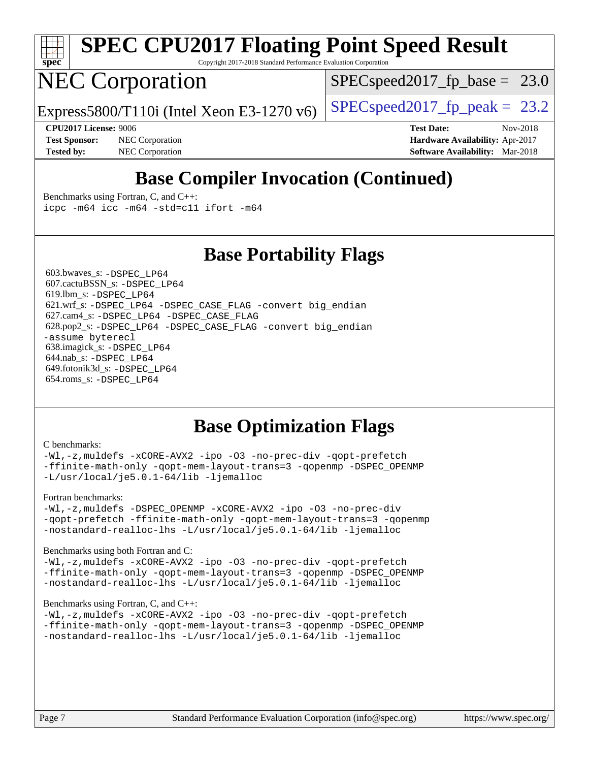

# **[SPEC CPU2017 Floating Point Speed Result](http://www.spec.org/auto/cpu2017/Docs/result-fields.html#SPECCPU2017FloatingPointSpeedResult)**

Copyright 2017-2018 Standard Performance Evaluation Corporation

# NEC Corporation

 $SPECspeed2017_fp\_base = 23.0$ 

Express5800/T110i (Intel Xeon E3-1270 v6) [SPECspeed2017\\_fp\\_peak =](http://www.spec.org/auto/cpu2017/Docs/result-fields.html#SPECspeed2017fppeak)  $23.2$ 

**[Test Sponsor:](http://www.spec.org/auto/cpu2017/Docs/result-fields.html#TestSponsor)** NEC Corporation **[Hardware Availability:](http://www.spec.org/auto/cpu2017/Docs/result-fields.html#HardwareAvailability)** Apr-2017 **[Tested by:](http://www.spec.org/auto/cpu2017/Docs/result-fields.html#Testedby)** NEC Corporation **[Software Availability:](http://www.spec.org/auto/cpu2017/Docs/result-fields.html#SoftwareAvailability)** Mar-2018

**[CPU2017 License:](http://www.spec.org/auto/cpu2017/Docs/result-fields.html#CPU2017License)** 9006 **[Test Date:](http://www.spec.org/auto/cpu2017/Docs/result-fields.html#TestDate)** Nov-2018

# **[Base Compiler Invocation \(Continued\)](http://www.spec.org/auto/cpu2017/Docs/result-fields.html#BaseCompilerInvocation)**

[Benchmarks using Fortran, C, and C++:](http://www.spec.org/auto/cpu2017/Docs/result-fields.html#BenchmarksusingFortranCandCXX) [icpc -m64](http://www.spec.org/cpu2017/results/res2018q4/cpu2017-20181210-10024.flags.html#user_CC_CXX_FCbase_intel_icpc_64bit_4ecb2543ae3f1412ef961e0650ca070fec7b7afdcd6ed48761b84423119d1bf6bdf5cad15b44d48e7256388bc77273b966e5eb805aefd121eb22e9299b2ec9d9) [icc -m64 -std=c11](http://www.spec.org/cpu2017/results/res2018q4/cpu2017-20181210-10024.flags.html#user_CC_CXX_FCbase_intel_icc_64bit_c11_33ee0cdaae7deeeab2a9725423ba97205ce30f63b9926c2519791662299b76a0318f32ddfffdc46587804de3178b4f9328c46fa7c2b0cd779d7a61945c91cd35) [ifort -m64](http://www.spec.org/cpu2017/results/res2018q4/cpu2017-20181210-10024.flags.html#user_CC_CXX_FCbase_intel_ifort_64bit_24f2bb282fbaeffd6157abe4f878425411749daecae9a33200eee2bee2fe76f3b89351d69a8130dd5949958ce389cf37ff59a95e7a40d588e8d3a57e0c3fd751)

### **[Base Portability Flags](http://www.spec.org/auto/cpu2017/Docs/result-fields.html#BasePortabilityFlags)**

 603.bwaves\_s: [-DSPEC\\_LP64](http://www.spec.org/cpu2017/results/res2018q4/cpu2017-20181210-10024.flags.html#suite_basePORTABILITY603_bwaves_s_DSPEC_LP64) 607.cactuBSSN\_s: [-DSPEC\\_LP64](http://www.spec.org/cpu2017/results/res2018q4/cpu2017-20181210-10024.flags.html#suite_basePORTABILITY607_cactuBSSN_s_DSPEC_LP64) 619.lbm\_s: [-DSPEC\\_LP64](http://www.spec.org/cpu2017/results/res2018q4/cpu2017-20181210-10024.flags.html#suite_basePORTABILITY619_lbm_s_DSPEC_LP64) 621.wrf\_s: [-DSPEC\\_LP64](http://www.spec.org/cpu2017/results/res2018q4/cpu2017-20181210-10024.flags.html#suite_basePORTABILITY621_wrf_s_DSPEC_LP64) [-DSPEC\\_CASE\\_FLAG](http://www.spec.org/cpu2017/results/res2018q4/cpu2017-20181210-10024.flags.html#b621.wrf_s_baseCPORTABILITY_DSPEC_CASE_FLAG) [-convert big\\_endian](http://www.spec.org/cpu2017/results/res2018q4/cpu2017-20181210-10024.flags.html#user_baseFPORTABILITY621_wrf_s_convert_big_endian_c3194028bc08c63ac5d04de18c48ce6d347e4e562e8892b8bdbdc0214820426deb8554edfa529a3fb25a586e65a3d812c835984020483e7e73212c4d31a38223) 627.cam4\_s: [-DSPEC\\_LP64](http://www.spec.org/cpu2017/results/res2018q4/cpu2017-20181210-10024.flags.html#suite_basePORTABILITY627_cam4_s_DSPEC_LP64) [-DSPEC\\_CASE\\_FLAG](http://www.spec.org/cpu2017/results/res2018q4/cpu2017-20181210-10024.flags.html#b627.cam4_s_baseCPORTABILITY_DSPEC_CASE_FLAG) 628.pop2\_s: [-DSPEC\\_LP64](http://www.spec.org/cpu2017/results/res2018q4/cpu2017-20181210-10024.flags.html#suite_basePORTABILITY628_pop2_s_DSPEC_LP64) [-DSPEC\\_CASE\\_FLAG](http://www.spec.org/cpu2017/results/res2018q4/cpu2017-20181210-10024.flags.html#b628.pop2_s_baseCPORTABILITY_DSPEC_CASE_FLAG) [-convert big\\_endian](http://www.spec.org/cpu2017/results/res2018q4/cpu2017-20181210-10024.flags.html#user_baseFPORTABILITY628_pop2_s_convert_big_endian_c3194028bc08c63ac5d04de18c48ce6d347e4e562e8892b8bdbdc0214820426deb8554edfa529a3fb25a586e65a3d812c835984020483e7e73212c4d31a38223) [-assume byterecl](http://www.spec.org/cpu2017/results/res2018q4/cpu2017-20181210-10024.flags.html#user_baseFPORTABILITY628_pop2_s_assume_byterecl_7e47d18b9513cf18525430bbf0f2177aa9bf368bc7a059c09b2c06a34b53bd3447c950d3f8d6c70e3faf3a05c8557d66a5798b567902e8849adc142926523472) 638.imagick\_s: [-DSPEC\\_LP64](http://www.spec.org/cpu2017/results/res2018q4/cpu2017-20181210-10024.flags.html#suite_basePORTABILITY638_imagick_s_DSPEC_LP64) 644.nab\_s: [-DSPEC\\_LP64](http://www.spec.org/cpu2017/results/res2018q4/cpu2017-20181210-10024.flags.html#suite_basePORTABILITY644_nab_s_DSPEC_LP64) 649.fotonik3d\_s: [-DSPEC\\_LP64](http://www.spec.org/cpu2017/results/res2018q4/cpu2017-20181210-10024.flags.html#suite_basePORTABILITY649_fotonik3d_s_DSPEC_LP64) 654.roms\_s: [-DSPEC\\_LP64](http://www.spec.org/cpu2017/results/res2018q4/cpu2017-20181210-10024.flags.html#suite_basePORTABILITY654_roms_s_DSPEC_LP64)

### **[Base Optimization Flags](http://www.spec.org/auto/cpu2017/Docs/result-fields.html#BaseOptimizationFlags)**

#### [C benchmarks](http://www.spec.org/auto/cpu2017/Docs/result-fields.html#Cbenchmarks):

[-Wl,-z,muldefs](http://www.spec.org/cpu2017/results/res2018q4/cpu2017-20181210-10024.flags.html#user_CCbase_link_force_multiple1_b4cbdb97b34bdee9ceefcfe54f4c8ea74255f0b02a4b23e853cdb0e18eb4525ac79b5a88067c842dd0ee6996c24547a27a4b99331201badda8798ef8a743f577) [-xCORE-AVX2](http://www.spec.org/cpu2017/results/res2018q4/cpu2017-20181210-10024.flags.html#user_CCbase_f-xCORE-AVX2) [-ipo](http://www.spec.org/cpu2017/results/res2018q4/cpu2017-20181210-10024.flags.html#user_CCbase_f-ipo) [-O3](http://www.spec.org/cpu2017/results/res2018q4/cpu2017-20181210-10024.flags.html#user_CCbase_f-O3) [-no-prec-div](http://www.spec.org/cpu2017/results/res2018q4/cpu2017-20181210-10024.flags.html#user_CCbase_f-no-prec-div) [-qopt-prefetch](http://www.spec.org/cpu2017/results/res2018q4/cpu2017-20181210-10024.flags.html#user_CCbase_f-qopt-prefetch) [-ffinite-math-only](http://www.spec.org/cpu2017/results/res2018q4/cpu2017-20181210-10024.flags.html#user_CCbase_f_finite_math_only_cb91587bd2077682c4b38af759c288ed7c732db004271a9512da14a4f8007909a5f1427ecbf1a0fb78ff2a814402c6114ac565ca162485bbcae155b5e4258871) [-qopt-mem-layout-trans=3](http://www.spec.org/cpu2017/results/res2018q4/cpu2017-20181210-10024.flags.html#user_CCbase_f-qopt-mem-layout-trans_de80db37974c74b1f0e20d883f0b675c88c3b01e9d123adea9b28688d64333345fb62bc4a798493513fdb68f60282f9a726aa07f478b2f7113531aecce732043) [-qopenmp](http://www.spec.org/cpu2017/results/res2018q4/cpu2017-20181210-10024.flags.html#user_CCbase_qopenmp_16be0c44f24f464004c6784a7acb94aca937f053568ce72f94b139a11c7c168634a55f6653758ddd83bcf7b8463e8028bb0b48b77bcddc6b78d5d95bb1df2967) [-DSPEC\\_OPENMP](http://www.spec.org/cpu2017/results/res2018q4/cpu2017-20181210-10024.flags.html#suite_CCbase_DSPEC_OPENMP) [-L/usr/local/je5.0.1-64/lib](http://www.spec.org/cpu2017/results/res2018q4/cpu2017-20181210-10024.flags.html#user_CCbase_jemalloc_link_path64_4b10a636b7bce113509b17f3bd0d6226c5fb2346b9178c2d0232c14f04ab830f976640479e5c33dc2bcbbdad86ecfb6634cbbd4418746f06f368b512fced5394) [-ljemalloc](http://www.spec.org/cpu2017/results/res2018q4/cpu2017-20181210-10024.flags.html#user_CCbase_jemalloc_link_lib_d1249b907c500fa1c0672f44f562e3d0f79738ae9e3c4a9c376d49f265a04b9c99b167ecedbf6711b3085be911c67ff61f150a17b3472be731631ba4d0471706)

#### [Fortran benchmarks](http://www.spec.org/auto/cpu2017/Docs/result-fields.html#Fortranbenchmarks):

[-Wl,-z,muldefs](http://www.spec.org/cpu2017/results/res2018q4/cpu2017-20181210-10024.flags.html#user_FCbase_link_force_multiple1_b4cbdb97b34bdee9ceefcfe54f4c8ea74255f0b02a4b23e853cdb0e18eb4525ac79b5a88067c842dd0ee6996c24547a27a4b99331201badda8798ef8a743f577) [-DSPEC\\_OPENMP](http://www.spec.org/cpu2017/results/res2018q4/cpu2017-20181210-10024.flags.html#suite_FCbase_DSPEC_OPENMP) [-xCORE-AVX2](http://www.spec.org/cpu2017/results/res2018q4/cpu2017-20181210-10024.flags.html#user_FCbase_f-xCORE-AVX2) [-ipo](http://www.spec.org/cpu2017/results/res2018q4/cpu2017-20181210-10024.flags.html#user_FCbase_f-ipo) [-O3](http://www.spec.org/cpu2017/results/res2018q4/cpu2017-20181210-10024.flags.html#user_FCbase_f-O3) [-no-prec-div](http://www.spec.org/cpu2017/results/res2018q4/cpu2017-20181210-10024.flags.html#user_FCbase_f-no-prec-div) [-qopt-prefetch](http://www.spec.org/cpu2017/results/res2018q4/cpu2017-20181210-10024.flags.html#user_FCbase_f-qopt-prefetch) [-ffinite-math-only](http://www.spec.org/cpu2017/results/res2018q4/cpu2017-20181210-10024.flags.html#user_FCbase_f_finite_math_only_cb91587bd2077682c4b38af759c288ed7c732db004271a9512da14a4f8007909a5f1427ecbf1a0fb78ff2a814402c6114ac565ca162485bbcae155b5e4258871) [-qopt-mem-layout-trans=3](http://www.spec.org/cpu2017/results/res2018q4/cpu2017-20181210-10024.flags.html#user_FCbase_f-qopt-mem-layout-trans_de80db37974c74b1f0e20d883f0b675c88c3b01e9d123adea9b28688d64333345fb62bc4a798493513fdb68f60282f9a726aa07f478b2f7113531aecce732043) [-qopenmp](http://www.spec.org/cpu2017/results/res2018q4/cpu2017-20181210-10024.flags.html#user_FCbase_qopenmp_16be0c44f24f464004c6784a7acb94aca937f053568ce72f94b139a11c7c168634a55f6653758ddd83bcf7b8463e8028bb0b48b77bcddc6b78d5d95bb1df2967) [-nostandard-realloc-lhs](http://www.spec.org/cpu2017/results/res2018q4/cpu2017-20181210-10024.flags.html#user_FCbase_f_2003_std_realloc_82b4557e90729c0f113870c07e44d33d6f5a304b4f63d4c15d2d0f1fab99f5daaed73bdb9275d9ae411527f28b936061aa8b9c8f2d63842963b95c9dd6426b8a) [-L/usr/local/je5.0.1-64/lib](http://www.spec.org/cpu2017/results/res2018q4/cpu2017-20181210-10024.flags.html#user_FCbase_jemalloc_link_path64_4b10a636b7bce113509b17f3bd0d6226c5fb2346b9178c2d0232c14f04ab830f976640479e5c33dc2bcbbdad86ecfb6634cbbd4418746f06f368b512fced5394) [-ljemalloc](http://www.spec.org/cpu2017/results/res2018q4/cpu2017-20181210-10024.flags.html#user_FCbase_jemalloc_link_lib_d1249b907c500fa1c0672f44f562e3d0f79738ae9e3c4a9c376d49f265a04b9c99b167ecedbf6711b3085be911c67ff61f150a17b3472be731631ba4d0471706)

#### [Benchmarks using both Fortran and C](http://www.spec.org/auto/cpu2017/Docs/result-fields.html#BenchmarksusingbothFortranandC):

[-Wl,-z,muldefs](http://www.spec.org/cpu2017/results/res2018q4/cpu2017-20181210-10024.flags.html#user_CC_FCbase_link_force_multiple1_b4cbdb97b34bdee9ceefcfe54f4c8ea74255f0b02a4b23e853cdb0e18eb4525ac79b5a88067c842dd0ee6996c24547a27a4b99331201badda8798ef8a743f577) [-xCORE-AVX2](http://www.spec.org/cpu2017/results/res2018q4/cpu2017-20181210-10024.flags.html#user_CC_FCbase_f-xCORE-AVX2) [-ipo](http://www.spec.org/cpu2017/results/res2018q4/cpu2017-20181210-10024.flags.html#user_CC_FCbase_f-ipo) [-O3](http://www.spec.org/cpu2017/results/res2018q4/cpu2017-20181210-10024.flags.html#user_CC_FCbase_f-O3) [-no-prec-div](http://www.spec.org/cpu2017/results/res2018q4/cpu2017-20181210-10024.flags.html#user_CC_FCbase_f-no-prec-div) [-qopt-prefetch](http://www.spec.org/cpu2017/results/res2018q4/cpu2017-20181210-10024.flags.html#user_CC_FCbase_f-qopt-prefetch) [-ffinite-math-only](http://www.spec.org/cpu2017/results/res2018q4/cpu2017-20181210-10024.flags.html#user_CC_FCbase_f_finite_math_only_cb91587bd2077682c4b38af759c288ed7c732db004271a9512da14a4f8007909a5f1427ecbf1a0fb78ff2a814402c6114ac565ca162485bbcae155b5e4258871) [-qopt-mem-layout-trans=3](http://www.spec.org/cpu2017/results/res2018q4/cpu2017-20181210-10024.flags.html#user_CC_FCbase_f-qopt-mem-layout-trans_de80db37974c74b1f0e20d883f0b675c88c3b01e9d123adea9b28688d64333345fb62bc4a798493513fdb68f60282f9a726aa07f478b2f7113531aecce732043) [-qopenmp](http://www.spec.org/cpu2017/results/res2018q4/cpu2017-20181210-10024.flags.html#user_CC_FCbase_qopenmp_16be0c44f24f464004c6784a7acb94aca937f053568ce72f94b139a11c7c168634a55f6653758ddd83bcf7b8463e8028bb0b48b77bcddc6b78d5d95bb1df2967) [-DSPEC\\_OPENMP](http://www.spec.org/cpu2017/results/res2018q4/cpu2017-20181210-10024.flags.html#suite_CC_FCbase_DSPEC_OPENMP) [-nostandard-realloc-lhs](http://www.spec.org/cpu2017/results/res2018q4/cpu2017-20181210-10024.flags.html#user_CC_FCbase_f_2003_std_realloc_82b4557e90729c0f113870c07e44d33d6f5a304b4f63d4c15d2d0f1fab99f5daaed73bdb9275d9ae411527f28b936061aa8b9c8f2d63842963b95c9dd6426b8a) [-L/usr/local/je5.0.1-64/lib](http://www.spec.org/cpu2017/results/res2018q4/cpu2017-20181210-10024.flags.html#user_CC_FCbase_jemalloc_link_path64_4b10a636b7bce113509b17f3bd0d6226c5fb2346b9178c2d0232c14f04ab830f976640479e5c33dc2bcbbdad86ecfb6634cbbd4418746f06f368b512fced5394) [-ljemalloc](http://www.spec.org/cpu2017/results/res2018q4/cpu2017-20181210-10024.flags.html#user_CC_FCbase_jemalloc_link_lib_d1249b907c500fa1c0672f44f562e3d0f79738ae9e3c4a9c376d49f265a04b9c99b167ecedbf6711b3085be911c67ff61f150a17b3472be731631ba4d0471706)

#### [Benchmarks using Fortran, C, and C++:](http://www.spec.org/auto/cpu2017/Docs/result-fields.html#BenchmarksusingFortranCandCXX)

[-Wl,-z,muldefs](http://www.spec.org/cpu2017/results/res2018q4/cpu2017-20181210-10024.flags.html#user_CC_CXX_FCbase_link_force_multiple1_b4cbdb97b34bdee9ceefcfe54f4c8ea74255f0b02a4b23e853cdb0e18eb4525ac79b5a88067c842dd0ee6996c24547a27a4b99331201badda8798ef8a743f577) [-xCORE-AVX2](http://www.spec.org/cpu2017/results/res2018q4/cpu2017-20181210-10024.flags.html#user_CC_CXX_FCbase_f-xCORE-AVX2) [-ipo](http://www.spec.org/cpu2017/results/res2018q4/cpu2017-20181210-10024.flags.html#user_CC_CXX_FCbase_f-ipo) [-O3](http://www.spec.org/cpu2017/results/res2018q4/cpu2017-20181210-10024.flags.html#user_CC_CXX_FCbase_f-O3) [-no-prec-div](http://www.spec.org/cpu2017/results/res2018q4/cpu2017-20181210-10024.flags.html#user_CC_CXX_FCbase_f-no-prec-div) [-qopt-prefetch](http://www.spec.org/cpu2017/results/res2018q4/cpu2017-20181210-10024.flags.html#user_CC_CXX_FCbase_f-qopt-prefetch) [-ffinite-math-only](http://www.spec.org/cpu2017/results/res2018q4/cpu2017-20181210-10024.flags.html#user_CC_CXX_FCbase_f_finite_math_only_cb91587bd2077682c4b38af759c288ed7c732db004271a9512da14a4f8007909a5f1427ecbf1a0fb78ff2a814402c6114ac565ca162485bbcae155b5e4258871) [-qopt-mem-layout-trans=3](http://www.spec.org/cpu2017/results/res2018q4/cpu2017-20181210-10024.flags.html#user_CC_CXX_FCbase_f-qopt-mem-layout-trans_de80db37974c74b1f0e20d883f0b675c88c3b01e9d123adea9b28688d64333345fb62bc4a798493513fdb68f60282f9a726aa07f478b2f7113531aecce732043) [-qopenmp](http://www.spec.org/cpu2017/results/res2018q4/cpu2017-20181210-10024.flags.html#user_CC_CXX_FCbase_qopenmp_16be0c44f24f464004c6784a7acb94aca937f053568ce72f94b139a11c7c168634a55f6653758ddd83bcf7b8463e8028bb0b48b77bcddc6b78d5d95bb1df2967) [-DSPEC\\_OPENMP](http://www.spec.org/cpu2017/results/res2018q4/cpu2017-20181210-10024.flags.html#suite_CC_CXX_FCbase_DSPEC_OPENMP) [-nostandard-realloc-lhs](http://www.spec.org/cpu2017/results/res2018q4/cpu2017-20181210-10024.flags.html#user_CC_CXX_FCbase_f_2003_std_realloc_82b4557e90729c0f113870c07e44d33d6f5a304b4f63d4c15d2d0f1fab99f5daaed73bdb9275d9ae411527f28b936061aa8b9c8f2d63842963b95c9dd6426b8a) [-L/usr/local/je5.0.1-64/lib](http://www.spec.org/cpu2017/results/res2018q4/cpu2017-20181210-10024.flags.html#user_CC_CXX_FCbase_jemalloc_link_path64_4b10a636b7bce113509b17f3bd0d6226c5fb2346b9178c2d0232c14f04ab830f976640479e5c33dc2bcbbdad86ecfb6634cbbd4418746f06f368b512fced5394) [-ljemalloc](http://www.spec.org/cpu2017/results/res2018q4/cpu2017-20181210-10024.flags.html#user_CC_CXX_FCbase_jemalloc_link_lib_d1249b907c500fa1c0672f44f562e3d0f79738ae9e3c4a9c376d49f265a04b9c99b167ecedbf6711b3085be911c67ff61f150a17b3472be731631ba4d0471706)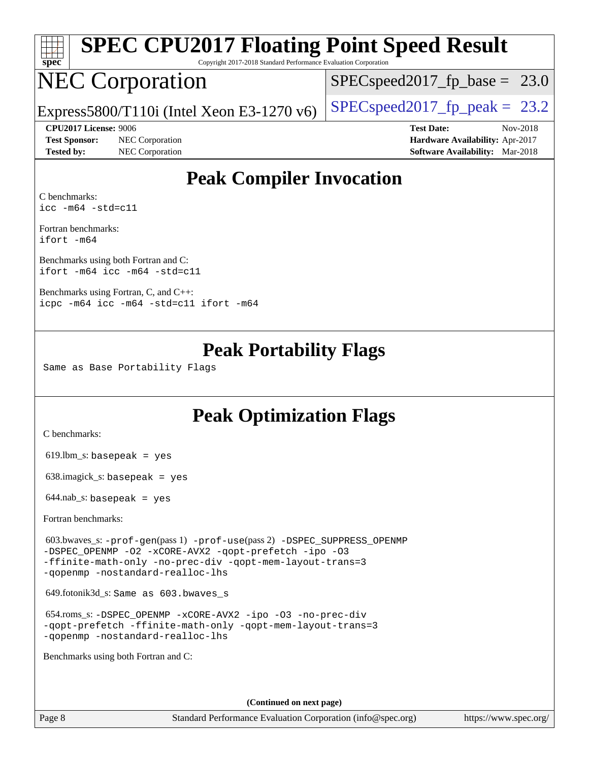| spec® | SPEC CPU2017 Floating Point Speed Result<br>Copyright 2017-2018 Standard Performance Evaluation Corporation |                                              |
|-------|-------------------------------------------------------------------------------------------------------------|----------------------------------------------|
|       | <b>NEC Corporation</b>                                                                                      | $\overline{\text{SPEC}}$ speed2017 fp base = |

### $SPECspeed2017_fp\_base = 23.0$

Express5800/T110i (Intel Xeon E3-1270 v6) [SPECspeed2017\\_fp\\_peak =](http://www.spec.org/auto/cpu2017/Docs/result-fields.html#SPECspeed2017fppeak)  $23.2$ 

**[Test Sponsor:](http://www.spec.org/auto/cpu2017/Docs/result-fields.html#TestSponsor)** NEC Corporation **[Hardware Availability:](http://www.spec.org/auto/cpu2017/Docs/result-fields.html#HardwareAvailability)** Apr-2017 **[Tested by:](http://www.spec.org/auto/cpu2017/Docs/result-fields.html#Testedby)** NEC Corporation **[Software Availability:](http://www.spec.org/auto/cpu2017/Docs/result-fields.html#SoftwareAvailability)** Mar-2018

**[CPU2017 License:](http://www.spec.org/auto/cpu2017/Docs/result-fields.html#CPU2017License)** 9006 **[Test Date:](http://www.spec.org/auto/cpu2017/Docs/result-fields.html#TestDate)** Nov-2018

# **[Peak Compiler Invocation](http://www.spec.org/auto/cpu2017/Docs/result-fields.html#PeakCompilerInvocation)**

[C benchmarks](http://www.spec.org/auto/cpu2017/Docs/result-fields.html#Cbenchmarks): [icc -m64 -std=c11](http://www.spec.org/cpu2017/results/res2018q4/cpu2017-20181210-10024.flags.html#user_CCpeak_intel_icc_64bit_c11_33ee0cdaae7deeeab2a9725423ba97205ce30f63b9926c2519791662299b76a0318f32ddfffdc46587804de3178b4f9328c46fa7c2b0cd779d7a61945c91cd35)

[Fortran benchmarks](http://www.spec.org/auto/cpu2017/Docs/result-fields.html#Fortranbenchmarks): [ifort -m64](http://www.spec.org/cpu2017/results/res2018q4/cpu2017-20181210-10024.flags.html#user_FCpeak_intel_ifort_64bit_24f2bb282fbaeffd6157abe4f878425411749daecae9a33200eee2bee2fe76f3b89351d69a8130dd5949958ce389cf37ff59a95e7a40d588e8d3a57e0c3fd751)

[Benchmarks using both Fortran and C](http://www.spec.org/auto/cpu2017/Docs/result-fields.html#BenchmarksusingbothFortranandC): [ifort -m64](http://www.spec.org/cpu2017/results/res2018q4/cpu2017-20181210-10024.flags.html#user_CC_FCpeak_intel_ifort_64bit_24f2bb282fbaeffd6157abe4f878425411749daecae9a33200eee2bee2fe76f3b89351d69a8130dd5949958ce389cf37ff59a95e7a40d588e8d3a57e0c3fd751) [icc -m64 -std=c11](http://www.spec.org/cpu2017/results/res2018q4/cpu2017-20181210-10024.flags.html#user_CC_FCpeak_intel_icc_64bit_c11_33ee0cdaae7deeeab2a9725423ba97205ce30f63b9926c2519791662299b76a0318f32ddfffdc46587804de3178b4f9328c46fa7c2b0cd779d7a61945c91cd35)

[Benchmarks using Fortran, C, and C++:](http://www.spec.org/auto/cpu2017/Docs/result-fields.html#BenchmarksusingFortranCandCXX) [icpc -m64](http://www.spec.org/cpu2017/results/res2018q4/cpu2017-20181210-10024.flags.html#user_CC_CXX_FCpeak_intel_icpc_64bit_4ecb2543ae3f1412ef961e0650ca070fec7b7afdcd6ed48761b84423119d1bf6bdf5cad15b44d48e7256388bc77273b966e5eb805aefd121eb22e9299b2ec9d9) [icc -m64 -std=c11](http://www.spec.org/cpu2017/results/res2018q4/cpu2017-20181210-10024.flags.html#user_CC_CXX_FCpeak_intel_icc_64bit_c11_33ee0cdaae7deeeab2a9725423ba97205ce30f63b9926c2519791662299b76a0318f32ddfffdc46587804de3178b4f9328c46fa7c2b0cd779d7a61945c91cd35) [ifort -m64](http://www.spec.org/cpu2017/results/res2018q4/cpu2017-20181210-10024.flags.html#user_CC_CXX_FCpeak_intel_ifort_64bit_24f2bb282fbaeffd6157abe4f878425411749daecae9a33200eee2bee2fe76f3b89351d69a8130dd5949958ce389cf37ff59a95e7a40d588e8d3a57e0c3fd751)

### **[Peak Portability Flags](http://www.spec.org/auto/cpu2017/Docs/result-fields.html#PeakPortabilityFlags)**

Same as Base Portability Flags

# **[Peak Optimization Flags](http://www.spec.org/auto/cpu2017/Docs/result-fields.html#PeakOptimizationFlags)**

[C benchmarks](http://www.spec.org/auto/cpu2017/Docs/result-fields.html#Cbenchmarks):

619.lbm\_s: basepeak = yes

638.imagick\_s: basepeak = yes

 $644$ .nab\_s: basepeak = yes

[Fortran benchmarks](http://www.spec.org/auto/cpu2017/Docs/result-fields.html#Fortranbenchmarks):

 603.bwaves\_s: [-prof-gen](http://www.spec.org/cpu2017/results/res2018q4/cpu2017-20181210-10024.flags.html#user_peakPASS1_FFLAGSPASS1_LDFLAGS603_bwaves_s_prof_gen_5aa4926d6013ddb2a31985c654b3eb18169fc0c6952a63635c234f711e6e63dd76e94ad52365559451ec499a2cdb89e4dc58ba4c67ef54ca681ffbe1461d6b36)(pass 1) [-prof-use](http://www.spec.org/cpu2017/results/res2018q4/cpu2017-20181210-10024.flags.html#user_peakPASS2_FFLAGSPASS2_LDFLAGS603_bwaves_s_prof_use_1a21ceae95f36a2b53c25747139a6c16ca95bd9def2a207b4f0849963b97e94f5260e30a0c64f4bb623698870e679ca08317ef8150905d41bd88c6f78df73f19)(pass 2) [-DSPEC\\_SUPPRESS\\_OPENMP](http://www.spec.org/cpu2017/results/res2018q4/cpu2017-20181210-10024.flags.html#suite_peakPASS1_FOPTIMIZE603_bwaves_s_DSPEC_SUPPRESS_OPENMP) [-DSPEC\\_OPENMP](http://www.spec.org/cpu2017/results/res2018q4/cpu2017-20181210-10024.flags.html#suite_peakPASS2_FOPTIMIZE603_bwaves_s_DSPEC_OPENMP) [-O2](http://www.spec.org/cpu2017/results/res2018q4/cpu2017-20181210-10024.flags.html#user_peakPASS1_FOPTIMIZE603_bwaves_s_f-O2) [-xCORE-AVX2](http://www.spec.org/cpu2017/results/res2018q4/cpu2017-20181210-10024.flags.html#user_peakPASS2_FOPTIMIZE603_bwaves_s_f-xCORE-AVX2) [-qopt-prefetch](http://www.spec.org/cpu2017/results/res2018q4/cpu2017-20181210-10024.flags.html#user_peakPASS1_FOPTIMIZEPASS2_FOPTIMIZE603_bwaves_s_f-qopt-prefetch) [-ipo](http://www.spec.org/cpu2017/results/res2018q4/cpu2017-20181210-10024.flags.html#user_peakPASS2_FOPTIMIZE603_bwaves_s_f-ipo) [-O3](http://www.spec.org/cpu2017/results/res2018q4/cpu2017-20181210-10024.flags.html#user_peakPASS2_FOPTIMIZE603_bwaves_s_f-O3) [-ffinite-math-only](http://www.spec.org/cpu2017/results/res2018q4/cpu2017-20181210-10024.flags.html#user_peakPASS1_FOPTIMIZEPASS2_FOPTIMIZE603_bwaves_s_f_finite_math_only_cb91587bd2077682c4b38af759c288ed7c732db004271a9512da14a4f8007909a5f1427ecbf1a0fb78ff2a814402c6114ac565ca162485bbcae155b5e4258871) [-no-prec-div](http://www.spec.org/cpu2017/results/res2018q4/cpu2017-20181210-10024.flags.html#user_peakPASS2_FOPTIMIZE603_bwaves_s_f-no-prec-div) [-qopt-mem-layout-trans=3](http://www.spec.org/cpu2017/results/res2018q4/cpu2017-20181210-10024.flags.html#user_peakPASS1_FOPTIMIZEPASS2_FOPTIMIZE603_bwaves_s_f-qopt-mem-layout-trans_de80db37974c74b1f0e20d883f0b675c88c3b01e9d123adea9b28688d64333345fb62bc4a798493513fdb68f60282f9a726aa07f478b2f7113531aecce732043) [-qopenmp](http://www.spec.org/cpu2017/results/res2018q4/cpu2017-20181210-10024.flags.html#user_peakPASS2_FOPTIMIZE603_bwaves_s_qopenmp_16be0c44f24f464004c6784a7acb94aca937f053568ce72f94b139a11c7c168634a55f6653758ddd83bcf7b8463e8028bb0b48b77bcddc6b78d5d95bb1df2967) [-nostandard-realloc-lhs](http://www.spec.org/cpu2017/results/res2018q4/cpu2017-20181210-10024.flags.html#user_peakEXTRA_FOPTIMIZE603_bwaves_s_f_2003_std_realloc_82b4557e90729c0f113870c07e44d33d6f5a304b4f63d4c15d2d0f1fab99f5daaed73bdb9275d9ae411527f28b936061aa8b9c8f2d63842963b95c9dd6426b8a)

649.fotonik3d\_s: Same as 603.bwaves\_s

 654.roms\_s: [-DSPEC\\_OPENMP](http://www.spec.org/cpu2017/results/res2018q4/cpu2017-20181210-10024.flags.html#suite_peakFOPTIMIZE654_roms_s_DSPEC_OPENMP) [-xCORE-AVX2](http://www.spec.org/cpu2017/results/res2018q4/cpu2017-20181210-10024.flags.html#user_peakFOPTIMIZE654_roms_s_f-xCORE-AVX2) [-ipo](http://www.spec.org/cpu2017/results/res2018q4/cpu2017-20181210-10024.flags.html#user_peakFOPTIMIZE654_roms_s_f-ipo) [-O3](http://www.spec.org/cpu2017/results/res2018q4/cpu2017-20181210-10024.flags.html#user_peakFOPTIMIZE654_roms_s_f-O3) [-no-prec-div](http://www.spec.org/cpu2017/results/res2018q4/cpu2017-20181210-10024.flags.html#user_peakFOPTIMIZE654_roms_s_f-no-prec-div) [-qopt-prefetch](http://www.spec.org/cpu2017/results/res2018q4/cpu2017-20181210-10024.flags.html#user_peakFOPTIMIZE654_roms_s_f-qopt-prefetch) [-ffinite-math-only](http://www.spec.org/cpu2017/results/res2018q4/cpu2017-20181210-10024.flags.html#user_peakFOPTIMIZE654_roms_s_f_finite_math_only_cb91587bd2077682c4b38af759c288ed7c732db004271a9512da14a4f8007909a5f1427ecbf1a0fb78ff2a814402c6114ac565ca162485bbcae155b5e4258871) [-qopt-mem-layout-trans=3](http://www.spec.org/cpu2017/results/res2018q4/cpu2017-20181210-10024.flags.html#user_peakFOPTIMIZE654_roms_s_f-qopt-mem-layout-trans_de80db37974c74b1f0e20d883f0b675c88c3b01e9d123adea9b28688d64333345fb62bc4a798493513fdb68f60282f9a726aa07f478b2f7113531aecce732043) [-qopenmp](http://www.spec.org/cpu2017/results/res2018q4/cpu2017-20181210-10024.flags.html#user_peakFOPTIMIZE654_roms_s_qopenmp_16be0c44f24f464004c6784a7acb94aca937f053568ce72f94b139a11c7c168634a55f6653758ddd83bcf7b8463e8028bb0b48b77bcddc6b78d5d95bb1df2967) [-nostandard-realloc-lhs](http://www.spec.org/cpu2017/results/res2018q4/cpu2017-20181210-10024.flags.html#user_peakEXTRA_FOPTIMIZE654_roms_s_f_2003_std_realloc_82b4557e90729c0f113870c07e44d33d6f5a304b4f63d4c15d2d0f1fab99f5daaed73bdb9275d9ae411527f28b936061aa8b9c8f2d63842963b95c9dd6426b8a)

[Benchmarks using both Fortran and C](http://www.spec.org/auto/cpu2017/Docs/result-fields.html#BenchmarksusingbothFortranandC):

**(Continued on next page)**